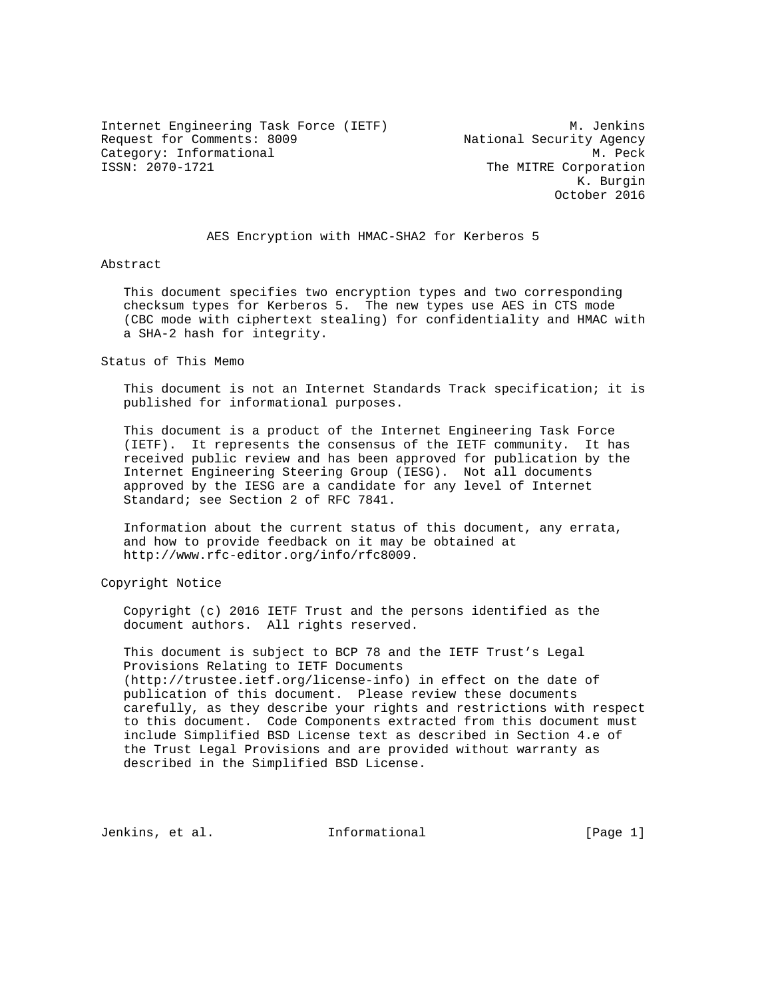Internet Engineering Task Force (IETF) M. Jenkins Request for Comments: 8009 National Security Agency Category: Informational M. Peck<br>
ISSN: 2070-1721 The MITRE Corporation

The MITRE Corporation K. Burgin October 2016

AES Encryption with HMAC-SHA2 for Kerberos 5

#### Abstract

 This document specifies two encryption types and two corresponding checksum types for Kerberos 5. The new types use AES in CTS mode (CBC mode with ciphertext stealing) for confidentiality and HMAC with a SHA-2 hash for integrity.

Status of This Memo

 This document is not an Internet Standards Track specification; it is published for informational purposes.

 This document is a product of the Internet Engineering Task Force (IETF). It represents the consensus of the IETF community. It has received public review and has been approved for publication by the Internet Engineering Steering Group (IESG). Not all documents approved by the IESG are a candidate for any level of Internet Standard; see Section 2 of RFC 7841.

 Information about the current status of this document, any errata, and how to provide feedback on it may be obtained at http://www.rfc-editor.org/info/rfc8009.

Copyright Notice

 Copyright (c) 2016 IETF Trust and the persons identified as the document authors. All rights reserved.

 This document is subject to BCP 78 and the IETF Trust's Legal Provisions Relating to IETF Documents (http://trustee.ietf.org/license-info) in effect on the date of publication of this document. Please review these documents carefully, as they describe your rights and restrictions with respect to this document. Code Components extracted from this document must include Simplified BSD License text as described in Section 4.e of the Trust Legal Provisions and are provided without warranty as described in the Simplified BSD License.

Jenkins, et al. 10. Informational 1. [Page 1]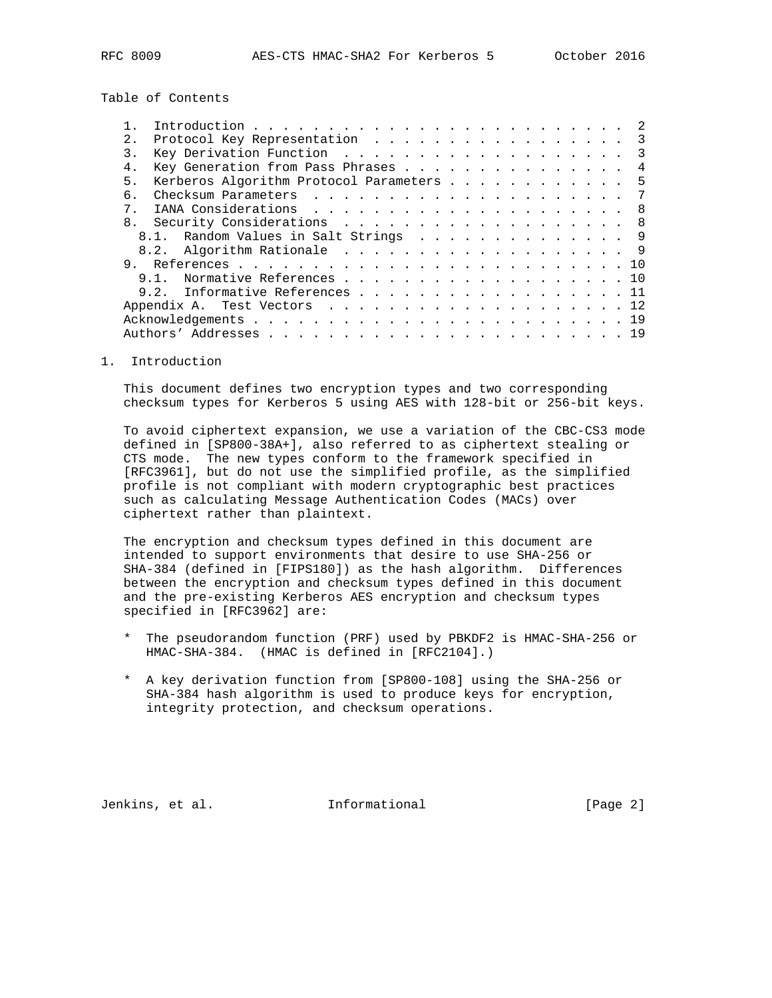Table of Contents

| $2^{\circ}$ | Protocol Key Representation 3            |  |
|-------------|------------------------------------------|--|
| 3.          | Key Derivation Function 3                |  |
| 4.          | Key Generation from Pass Phrases 4       |  |
| 5.          | Kerberos Algorithm Protocol Parameters 5 |  |
| б.          |                                          |  |
| $7$ .       |                                          |  |
| 8.          | Security Considerations 8                |  |
|             | 8.1. Random Values in Salt Strings 9     |  |
|             | 8.2. Algorithm Rationale 9               |  |
| 9.          |                                          |  |
|             | 9.1. Normative References 10             |  |
|             | Informative References 11<br>9.2.        |  |
|             | Appendix A. Test Vectors 12              |  |
|             |                                          |  |
|             |                                          |  |

1. Introduction

 This document defines two encryption types and two corresponding checksum types for Kerberos 5 using AES with 128-bit or 256-bit keys.

 To avoid ciphertext expansion, we use a variation of the CBC-CS3 mode defined in [SP800-38A+], also referred to as ciphertext stealing or CTS mode. The new types conform to the framework specified in [RFC3961], but do not use the simplified profile, as the simplified profile is not compliant with modern cryptographic best practices such as calculating Message Authentication Codes (MACs) over ciphertext rather than plaintext.

 The encryption and checksum types defined in this document are intended to support environments that desire to use SHA-256 or SHA-384 (defined in [FIPS180]) as the hash algorithm. Differences between the encryption and checksum types defined in this document and the pre-existing Kerberos AES encryption and checksum types specified in [RFC3962] are:

- \* The pseudorandom function (PRF) used by PBKDF2 is HMAC-SHA-256 or HMAC-SHA-384. (HMAC is defined in [RFC2104].)
- \* A key derivation function from [SP800-108] using the SHA-256 or SHA-384 hash algorithm is used to produce keys for encryption, integrity protection, and checksum operations.

Jenkins, et al. Informational [Page 2]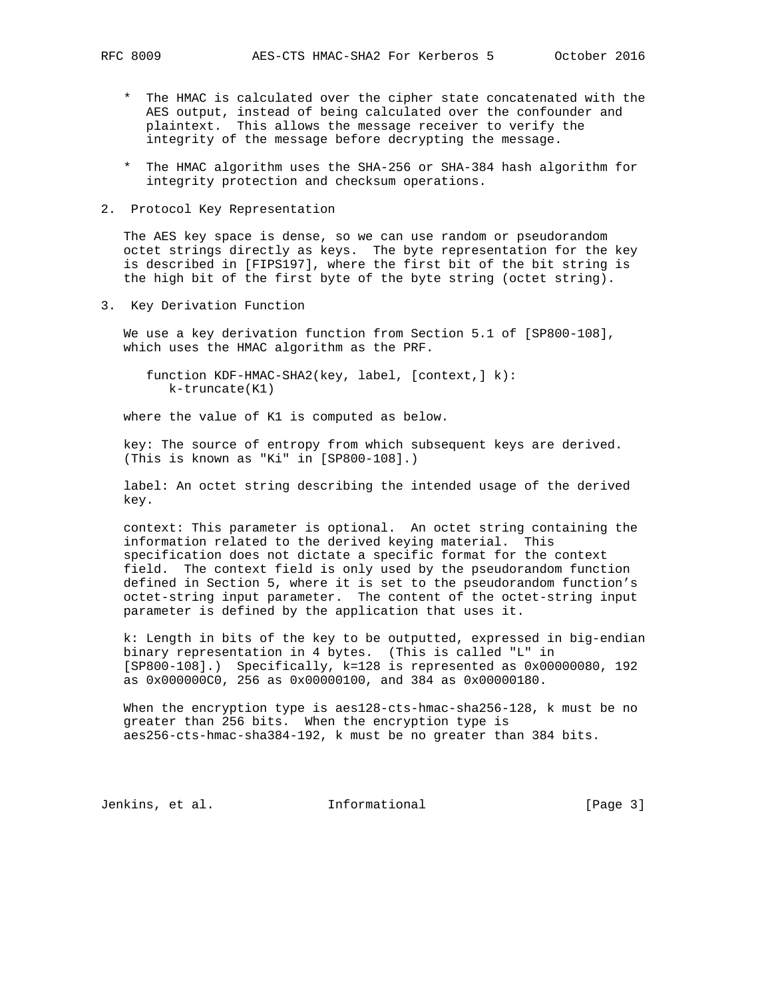- \* The HMAC is calculated over the cipher state concatenated with the AES output, instead of being calculated over the confounder and plaintext. This allows the message receiver to verify the integrity of the message before decrypting the message.
- \* The HMAC algorithm uses the SHA-256 or SHA-384 hash algorithm for integrity protection and checksum operations.
- 2. Protocol Key Representation

 The AES key space is dense, so we can use random or pseudorandom octet strings directly as keys. The byte representation for the key is described in [FIPS197], where the first bit of the bit string is the high bit of the first byte of the byte string (octet string).

3. Key Derivation Function

 We use a key derivation function from Section 5.1 of [SP800-108], which uses the HMAC algorithm as the PRF.

 function KDF-HMAC-SHA2(key, label, [context,] k): k-truncate(K1)

where the value of K1 is computed as below.

 key: The source of entropy from which subsequent keys are derived. (This is known as "Ki" in [SP800-108].)

 label: An octet string describing the intended usage of the derived key.

 context: This parameter is optional. An octet string containing the information related to the derived keying material. This specification does not dictate a specific format for the context field. The context field is only used by the pseudorandom function defined in Section 5, where it is set to the pseudorandom function's octet-string input parameter. The content of the octet-string input parameter is defined by the application that uses it.

 k: Length in bits of the key to be outputted, expressed in big-endian binary representation in 4 bytes. (This is called "L" in [SP800-108].) Specifically, k=128 is represented as 0x00000080, 192 as 0x000000C0, 256 as 0x00000100, and 384 as 0x00000180.

When the encryption type is aes128-cts-hmac-sha256-128, k must be no greater than 256 bits. When the encryption type is aes256-cts-hmac-sha384-192, k must be no greater than 384 bits.

Jenkins, et al. 1nformational 1998 [Page 3]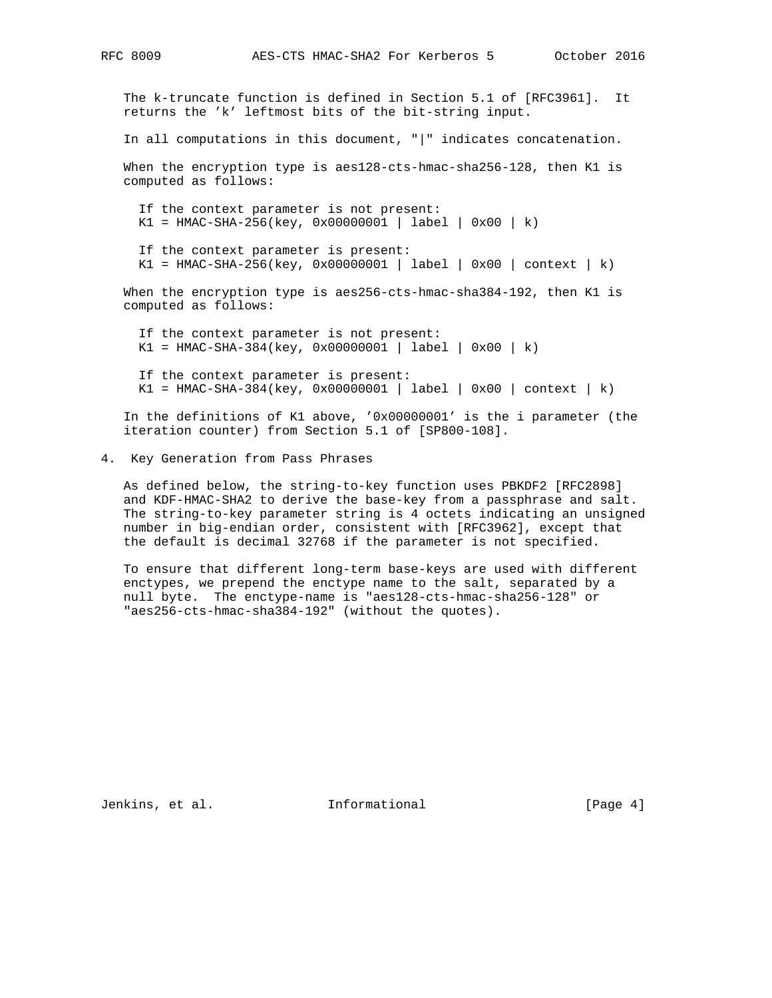The k-truncate function is defined in Section 5.1 of [RFC3961]. It returns the 'k' leftmost bits of the bit-string input.

In all computations in this document, "|" indicates concatenation.

 When the encryption type is aes128-cts-hmac-sha256-128, then K1 is computed as follows:

 If the context parameter is not present:  $K1 = HMAC-SHA-256(key, 0x0000001 | label | 0x00 | k)$ 

If the context parameter is present:

 $K1 = HMAC-SHA-256(key, 0x0000001 | label | 0x00 | context | k)$ 

 When the encryption type is aes256-cts-hmac-sha384-192, then K1 is computed as follows:

 If the context parameter is not present:  $K1 = HMAC-SHA-384(key, 0x00000001 | label | 0x00 | k)$ 

 If the context parameter is present: K1 = HMAC-SHA-384(key, 0x00000001 | label | 0x00 | context | k)

 In the definitions of K1 above, '0x00000001' is the i parameter (the iteration counter) from Section 5.1 of [SP800-108].

4. Key Generation from Pass Phrases

 As defined below, the string-to-key function uses PBKDF2 [RFC2898] and KDF-HMAC-SHA2 to derive the base-key from a passphrase and salt. The string-to-key parameter string is 4 octets indicating an unsigned number in big-endian order, consistent with [RFC3962], except that the default is decimal 32768 if the parameter is not specified.

 To ensure that different long-term base-keys are used with different enctypes, we prepend the enctype name to the salt, separated by a null byte. The enctype-name is "aes128-cts-hmac-sha256-128" or "aes256-cts-hmac-sha384-192" (without the quotes).

Jenkins, et al. 1nformational [Page 4]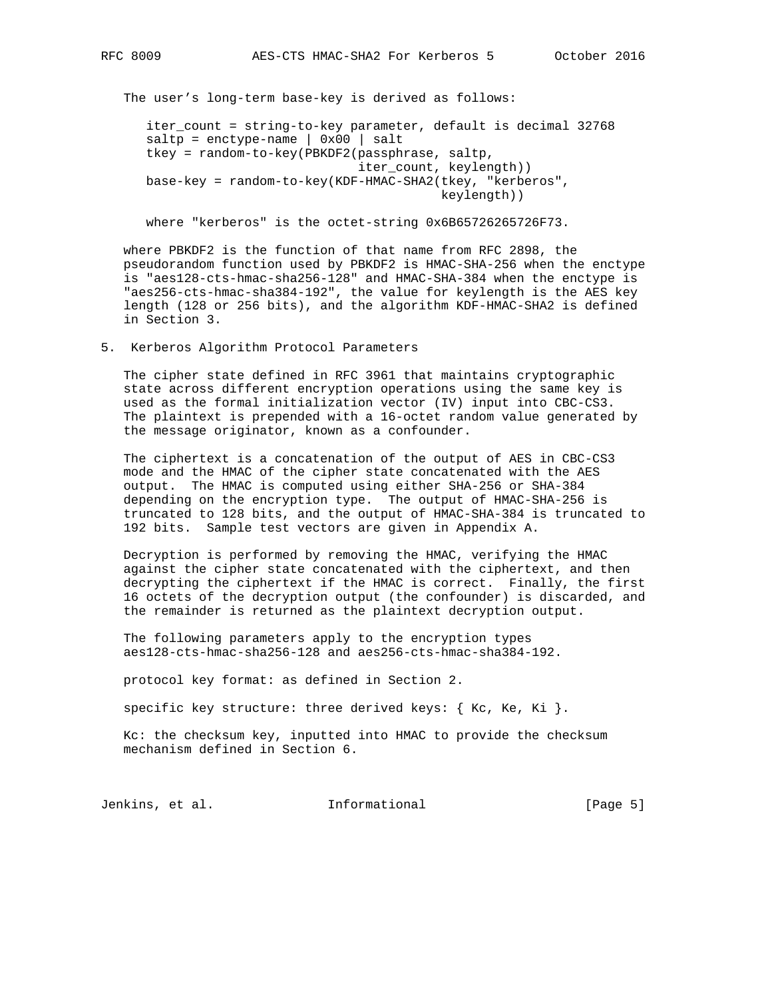The user's long-term base-key is derived as follows:

 iter\_count = string-to-key parameter, default is decimal 32768  $saltp = enctype-name \mid 0x00 \mid salt$  tkey = random-to-key(PBKDF2(passphrase, saltp, iter\_count, keylength)) base-key = random-to-key(KDF-HMAC-SHA2(tkey, "kerberos", keylength))

where "kerberos" is the octet-string 0x6B65726265726F73.

 where PBKDF2 is the function of that name from RFC 2898, the pseudorandom function used by PBKDF2 is HMAC-SHA-256 when the enctype is "aes128-cts-hmac-sha256-128" and HMAC-SHA-384 when the enctype is "aes256-cts-hmac-sha384-192", the value for keylength is the AES key length (128 or 256 bits), and the algorithm KDF-HMAC-SHA2 is defined in Section 3.

### 5. Kerberos Algorithm Protocol Parameters

 The cipher state defined in RFC 3961 that maintains cryptographic state across different encryption operations using the same key is used as the formal initialization vector (IV) input into CBC-CS3. The plaintext is prepended with a 16-octet random value generated by the message originator, known as a confounder.

 The ciphertext is a concatenation of the output of AES in CBC-CS3 mode and the HMAC of the cipher state concatenated with the AES output. The HMAC is computed using either SHA-256 or SHA-384 depending on the encryption type. The output of HMAC-SHA-256 is truncated to 128 bits, and the output of HMAC-SHA-384 is truncated to 192 bits. Sample test vectors are given in Appendix A.

 Decryption is performed by removing the HMAC, verifying the HMAC against the cipher state concatenated with the ciphertext, and then decrypting the ciphertext if the HMAC is correct. Finally, the first 16 octets of the decryption output (the confounder) is discarded, and the remainder is returned as the plaintext decryption output.

 The following parameters apply to the encryption types aes128-cts-hmac-sha256-128 and aes256-cts-hmac-sha384-192.

protocol key format: as defined in Section 2.

specific key structure: three derived keys:  $\{$  Kc, Ke, Ki  $\}$ .

 Kc: the checksum key, inputted into HMAC to provide the checksum mechanism defined in Section 6.

Jenkins, et al. **Informational** [Page 5]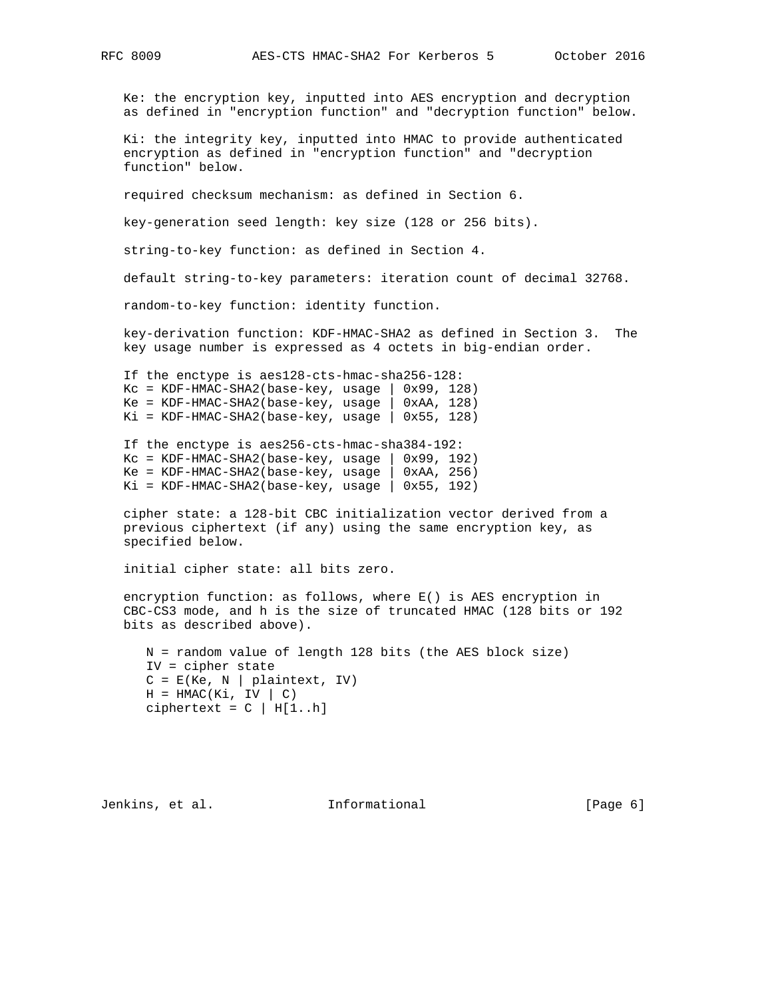Ke: the encryption key, inputted into AES encryption and decryption as defined in "encryption function" and "decryption function" below.

 Ki: the integrity key, inputted into HMAC to provide authenticated encryption as defined in "encryption function" and "decryption function" below.

required checksum mechanism: as defined in Section 6.

key-generation seed length: key size (128 or 256 bits).

string-to-key function: as defined in Section 4.

default string-to-key parameters: iteration count of decimal 32768.

random-to-key function: identity function.

 key-derivation function: KDF-HMAC-SHA2 as defined in Section 3. The key usage number is expressed as 4 octets in big-endian order.

 If the enctype is aes128-cts-hmac-sha256-128:  $KC = KDF-HMAC-SHA2(base-key, usage | 0x99, 128)$  $Ke = KDF-HMAC-SHA2(base-key, usage \mid 0xAA, 128)$  $Ki = KDF-HMAC-SHA2(base-key, usage | 0x55, 128)$ 

 If the enctype is aes256-cts-hmac-sha384-192:  $KC = KDF-HMAC-SHA2(base-key, usage | 0x99, 192)$  $Ke = KDF-HMAC-SHA2(base-key, usage | 0xAA, 256)$  $Ki = KDF-HMAC-SHA2(base-key, usage | 0x55, 192)$ 

 cipher state: a 128-bit CBC initialization vector derived from a previous ciphertext (if any) using the same encryption key, as specified below.

initial cipher state: all bits zero.

 encryption function: as follows, where E() is AES encryption in CBC-CS3 mode, and h is the size of truncated HMAC (128 bits or 192 bits as described above).

 N = random value of length 128 bits (the AES block size) IV = cipher state  $C = E(Ke, N | plaintext, IV)$  $H = HMAC(Ki, IV | C)$ ciphertext =  $C$  | H[1..h]

Jenkins, et al. 1nformational 1999 [Page 6]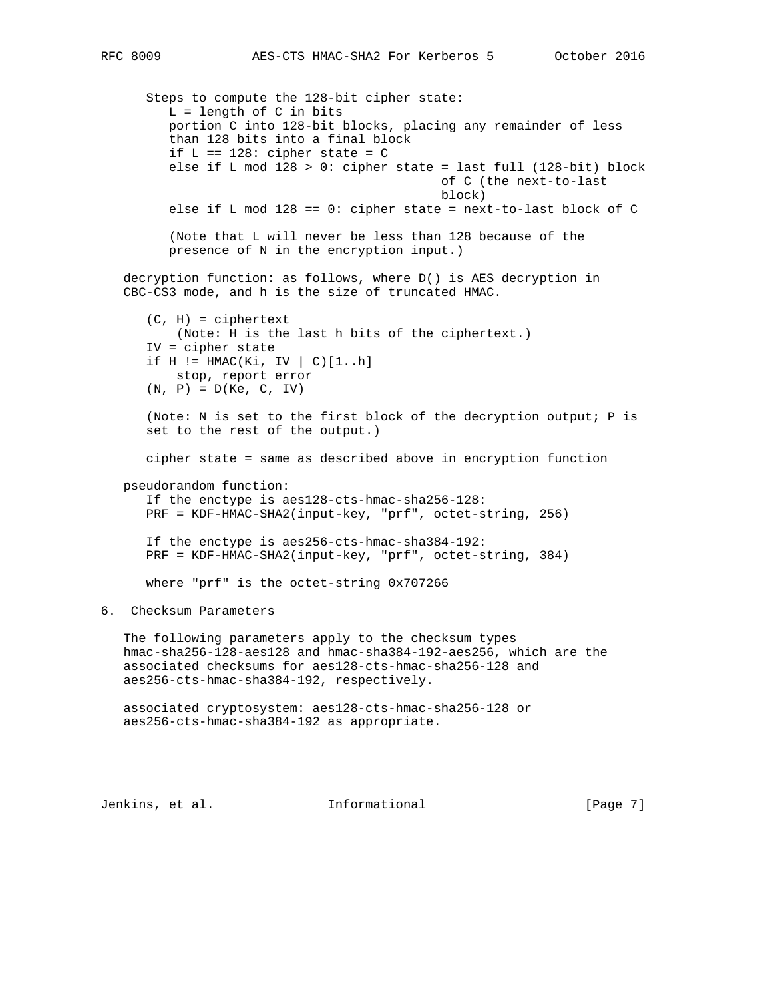Steps to compute the 128-bit cipher state:  $L =$  length of  $C$  in bits portion C into 128-bit blocks, placing any remainder of less than 128 bits into a final block if  $L == 128: cipher state = C$  else if L mod 128 > 0: cipher state = last full (128-bit) block of C (the next-to-last block) else if L mod 128 == 0: cipher state = next-to-last block of C (Note that L will never be less than 128 because of the presence of N in the encryption input.) decryption function: as follows, where D() is AES decryption in CBC-CS3 mode, and h is the size of truncated HMAC.  $(C, H) = ciphertext$  (Note: H is the last h bits of the ciphertext.) IV = cipher state if  $H := HMAC(Ki, IV \mid C)[1..h]$  stop, report error  $(N, P) = D(Ke, C, IV)$  (Note: N is set to the first block of the decryption output; P is set to the rest of the output.) cipher state = same as described above in encryption function pseudorandom function: If the enctype is aes128-cts-hmac-sha256-128: PRF = KDF-HMAC-SHA2(input-key, "prf", octet-string, 256) If the enctype is aes256-cts-hmac-sha384-192: PRF = KDF-HMAC-SHA2(input-key, "prf", octet-string, 384) where "prf" is the octet-string 0x707266 6. Checksum Parameters The following parameters apply to the checksum types hmac-sha256-128-aes128 and hmac-sha384-192-aes256, which are the associated checksums for aes128-cts-hmac-sha256-128 and aes256-cts-hmac-sha384-192, respectively. associated cryptosystem: aes128-cts-hmac-sha256-128 or aes256-cts-hmac-sha384-192 as appropriate.

Jenkins, et al. **Informational** [Page 7]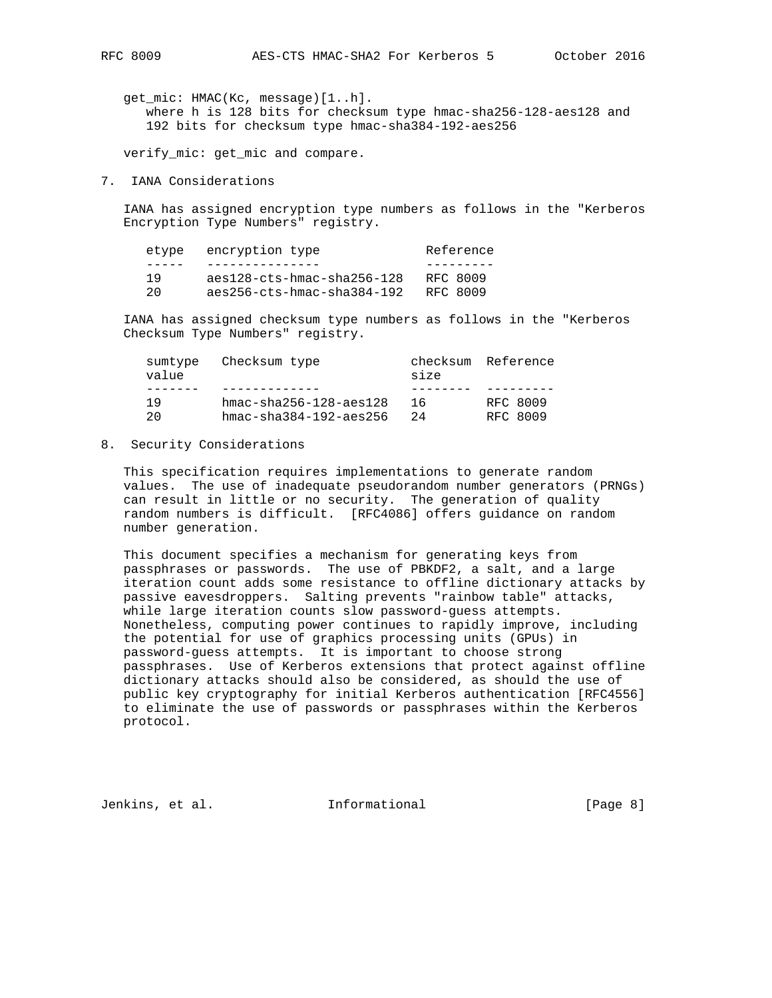get\_mic: HMAC(Kc, message)[1..h]. where h is 128 bits for checksum type hmac-sha256-128-aes128 and 192 bits for checksum type hmac-sha384-192-aes256

verify\_mic: get\_mic and compare.

7. IANA Considerations

 IANA has assigned encryption type numbers as follows in the "Kerberos Encryption Type Numbers" registry.

| etype | encryption type              | Reference |
|-------|------------------------------|-----------|
|       |                              |           |
| 1 Q   | aes128-cts-hmac-sha256-128   | RFC 8009  |
| 20    | $aes256-cts-hmac-sha384-192$ | RFC 8009  |

 IANA has assigned checksum type numbers as follows in the "Kerberos Checksum Type Numbers" registry.

| sumtype<br>value | Checksum type                  | size | checksum Reference |
|------------------|--------------------------------|------|--------------------|
|                  |                                |      |                    |
| 1 Q              | $hmac = sha256 - 128 - aes128$ | 16   | RFC 8009           |
| 2.0              | $hmac - sha384-192 -aes256$    | 2.4  | RFC 8009           |

8. Security Considerations

 This specification requires implementations to generate random values. The use of inadequate pseudorandom number generators (PRNGs) can result in little or no security. The generation of quality random numbers is difficult. [RFC4086] offers guidance on random number generation.

 This document specifies a mechanism for generating keys from passphrases or passwords. The use of PBKDF2, a salt, and a large iteration count adds some resistance to offline dictionary attacks by passive eavesdroppers. Salting prevents "rainbow table" attacks, while large iteration counts slow password-guess attempts. Nonetheless, computing power continues to rapidly improve, including the potential for use of graphics processing units (GPUs) in password-guess attempts. It is important to choose strong passphrases. Use of Kerberos extensions that protect against offline dictionary attacks should also be considered, as should the use of public key cryptography for initial Kerberos authentication [RFC4556] to eliminate the use of passwords or passphrases within the Kerberos protocol.

Jenkins, et al. Informational [Page 8]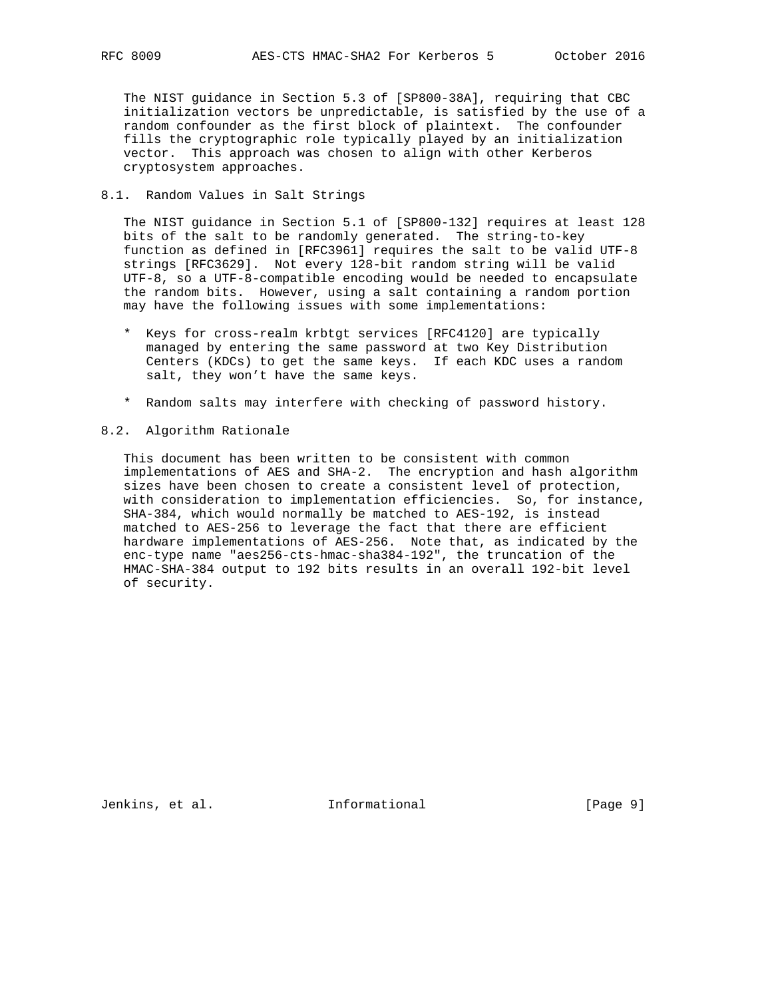The NIST guidance in Section 5.3 of [SP800-38A], requiring that CBC initialization vectors be unpredictable, is satisfied by the use of a random confounder as the first block of plaintext. The confounder fills the cryptographic role typically played by an initialization vector. This approach was chosen to align with other Kerberos cryptosystem approaches.

### 8.1. Random Values in Salt Strings

 The NIST guidance in Section 5.1 of [SP800-132] requires at least 128 bits of the salt to be randomly generated. The string-to-key function as defined in [RFC3961] requires the salt to be valid UTF-8 strings [RFC3629]. Not every 128-bit random string will be valid UTF-8, so a UTF-8-compatible encoding would be needed to encapsulate the random bits. However, using a salt containing a random portion may have the following issues with some implementations:

- \* Keys for cross-realm krbtgt services [RFC4120] are typically managed by entering the same password at two Key Distribution Centers (KDCs) to get the same keys. If each KDC uses a random salt, they won't have the same keys.
- \* Random salts may interfere with checking of password history.
- 8.2. Algorithm Rationale

 This document has been written to be consistent with common implementations of AES and SHA-2. The encryption and hash algorithm sizes have been chosen to create a consistent level of protection, with consideration to implementation efficiencies. So, for instance, SHA-384, which would normally be matched to AES-192, is instead matched to AES-256 to leverage the fact that there are efficient hardware implementations of AES-256. Note that, as indicated by the enc-type name "aes256-cts-hmac-sha384-192", the truncation of the HMAC-SHA-384 output to 192 bits results in an overall 192-bit level of security.

Jenkins, et al. 1nformational 1999 [Page 9]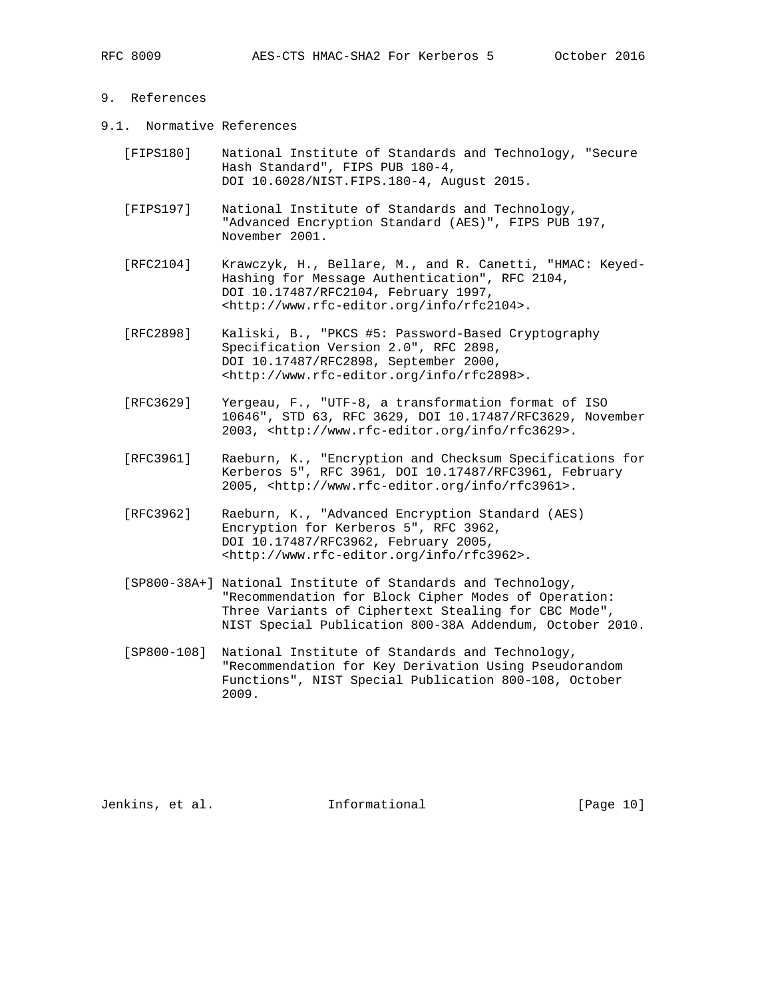## 9. References

- 9.1. Normative References
	- [FIPS180] National Institute of Standards and Technology, "Secure Hash Standard", FIPS PUB 180-4, DOI 10.6028/NIST.FIPS.180-4, August 2015.
	- [FIPS197] National Institute of Standards and Technology, "Advanced Encryption Standard (AES)", FIPS PUB 197, November 2001.
	- [RFC2104] Krawczyk, H., Bellare, M., and R. Canetti, "HMAC: Keyed- Hashing for Message Authentication", RFC 2104, DOI 10.17487/RFC2104, February 1997, <http://www.rfc-editor.org/info/rfc2104>.
	- [RFC2898] Kaliski, B., "PKCS #5: Password-Based Cryptography Specification Version 2.0", RFC 2898, DOI 10.17487/RFC2898, September 2000, <http://www.rfc-editor.org/info/rfc2898>.
	- [RFC3629] Yergeau, F., "UTF-8, a transformation format of ISO 10646", STD 63, RFC 3629, DOI 10.17487/RFC3629, November 2003, <http://www.rfc-editor.org/info/rfc3629>.
	- [RFC3961] Raeburn, K., "Encryption and Checksum Specifications for Kerberos 5", RFC 3961, DOI 10.17487/RFC3961, February 2005, <http://www.rfc-editor.org/info/rfc3961>.
	- [RFC3962] Raeburn, K., "Advanced Encryption Standard (AES) Encryption for Kerberos 5", RFC 3962, DOI 10.17487/RFC3962, February 2005, <http://www.rfc-editor.org/info/rfc3962>.
	- [SP800-38A+] National Institute of Standards and Technology, "Recommendation for Block Cipher Modes of Operation: Three Variants of Ciphertext Stealing for CBC Mode", NIST Special Publication 800-38A Addendum, October 2010.
	- [SP800-108] National Institute of Standards and Technology, "Recommendation for Key Derivation Using Pseudorandom Functions", NIST Special Publication 800-108, October 2009.

Jenkins, et al. Informational [Page 10]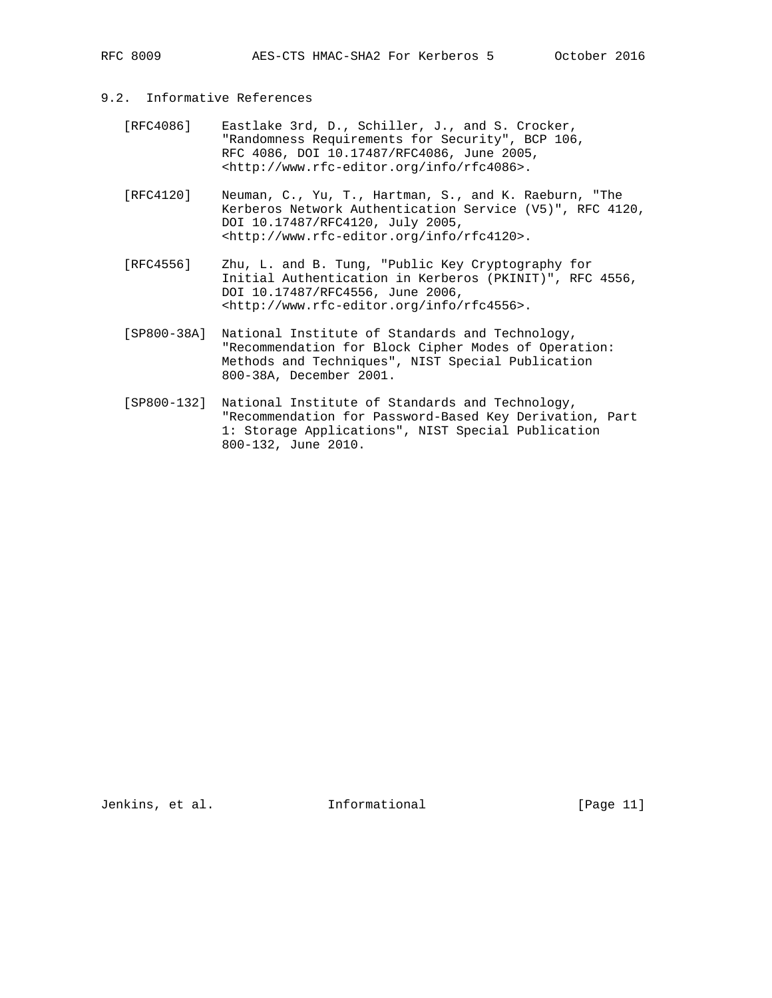# 9.2. Informative References

- [RFC4086] Eastlake 3rd, D., Schiller, J., and S. Crocker, "Randomness Requirements for Security", BCP 106, RFC 4086, DOI 10.17487/RFC4086, June 2005, <http://www.rfc-editor.org/info/rfc4086>.
- [RFC4120] Neuman, C., Yu, T., Hartman, S., and K. Raeburn, "The Kerberos Network Authentication Service (V5)", RFC 4120, DOI 10.17487/RFC4120, July 2005, <http://www.rfc-editor.org/info/rfc4120>.
- [RFC4556] Zhu, L. and B. Tung, "Public Key Cryptography for Initial Authentication in Kerberos (PKINIT)", RFC 4556, DOI 10.17487/RFC4556, June 2006, <http://www.rfc-editor.org/info/rfc4556>.
- [SP800-38A] National Institute of Standards and Technology, "Recommendation for Block Cipher Modes of Operation: Methods and Techniques", NIST Special Publication 800-38A, December 2001.
- [SP800-132] National Institute of Standards and Technology, "Recommendation for Password-Based Key Derivation, Part 1: Storage Applications", NIST Special Publication 800-132, June 2010.

Jenkins, et al. 10. Informational [Page 11]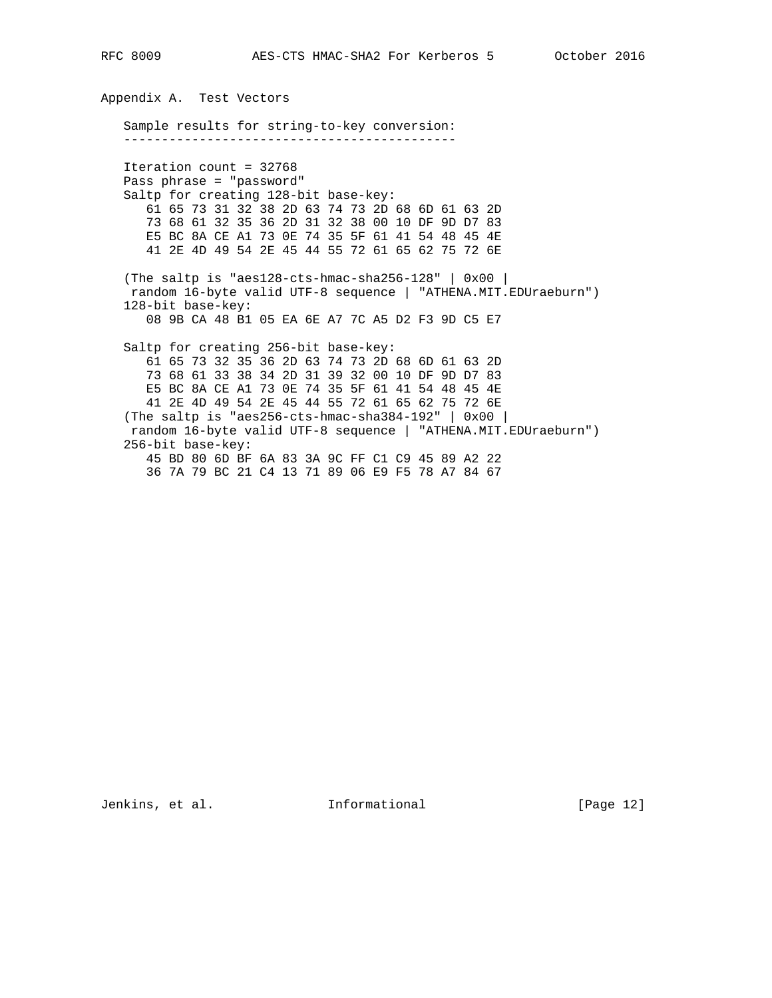Appendix A. Test Vectors Sample results for string-to-key conversion: -------------------------------------------- Iteration count = 32768 Pass phrase = "password" Saltp for creating 128-bit base-key: 61 65 73 31 32 38 2D 63 74 73 2D 68 6D 61 63 2D 73 68 61 32 35 36 2D 31 32 38 00 10 DF 9D D7 83 E5 BC 8A CE A1 73 0E 74 35 5F 61 41 54 48 45 4E 41 2E 4D 49 54 2E 45 44 55 72 61 65 62 75 72 6E (The saltp is "aes128-cts-hmac-sha256-128" | 0x00 | random 16-byte valid UTF-8 sequence | "ATHENA.MIT.EDUraeburn") 128-bit base-key: 08 9B CA 48 B1 05 EA 6E A7 7C A5 D2 F3 9D C5 E7 Saltp for creating 256-bit base-key: 61 65 73 32 35 36 2D 63 74 73 2D 68 6D 61 63 2D 73 68 61 33 38 34 2D 31 39 32 00 10 DF 9D D7 83 E5 BC 8A CE A1 73 0E 74 35 5F 61 41 54 48 45 4E 41 2E 4D 49 54 2E 45 44 55 72 61 65 62 75 72 6E (The saltp is "aes256-cts-hmac-sha384-192" | 0x00 | random 16-byte valid UTF-8 sequence | "ATHENA.MIT.EDUraeburn") 256-bit base-key: 45 BD 80 6D BF 6A 83 3A 9C FF C1 C9 45 89 A2 22 36 7A 79 BC 21 C4 13 71 89 06 E9 F5 78 A7 84 67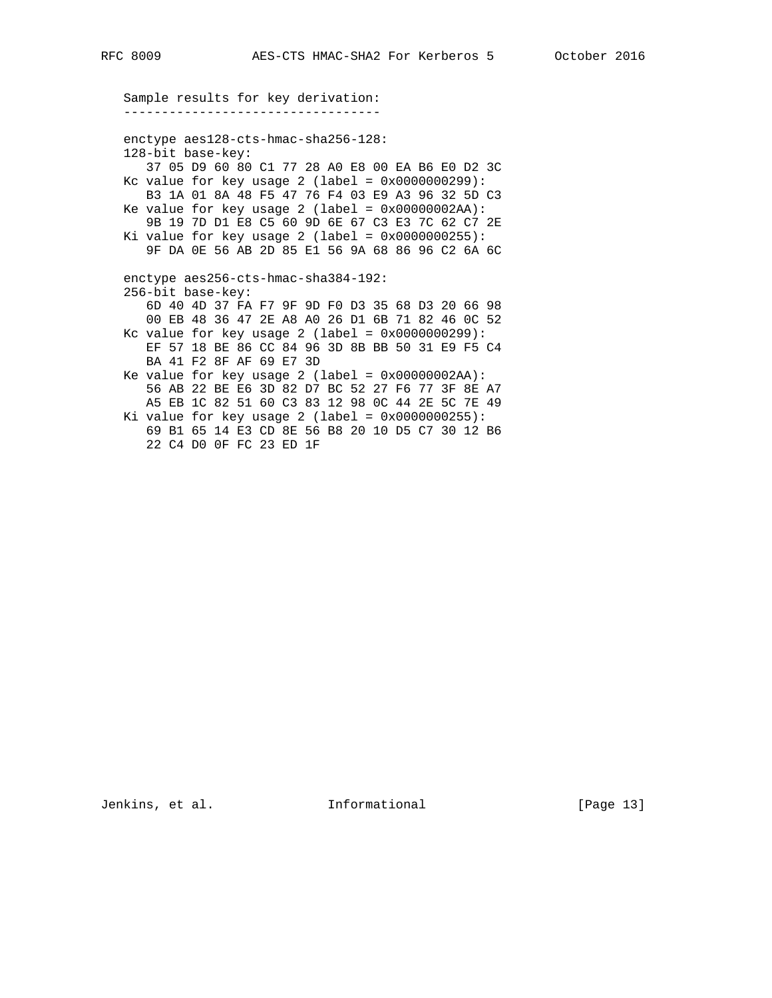--------------------------------- enctype aes128-cts-hmac-sha256-128: 128-bit base-key: 37 05 D9 60 80 C1 77 28 A0 E8 00 EA B6 E0 D2 3C Kc value for key usage 2 (label = 0x0000000299): B3 1A 01 8A 48 F5 47 76 F4 03 E9 A3 96 32 5D C3 Ke value for key usage  $2$  (label =  $0x00000002AA$ ): 9B 19 7D D1 E8 C5 60 9D 6E 67 C3 E3 7C 62 C7 2E Ki value for key usage  $2$  (label =  $0 \times 00000000255$ ): 9F DA 0E 56 AB 2D 85 E1 56 9A 68 86 96 C2 6A 6C enctype aes256-cts-hmac-sha384-192: 256-bit base-key: 6D 40 4D 37 FA F7 9F 9D F0 D3 35 68 D3 20 66 98 00 EB 48 36 47 2E A8 A0 26 D1 6B 71 82 46 0C 52 Kc value for key usage  $2$  (label =  $0 \times 00000000299$ ): EF 57 18 BE 86 CC 84 96 3D 8B BB 50 31 E9 F5 C4 BA 41 F2 8F AF 69 E7 3D Ke value for key usage  $2$  (label =  $0x00000002AA$ ): 56 AB 22 BE E6 3D 82 D7 BC 52 27 F6 77 3F 8E A7 A5 EB 1C 82 51 60 C3 83 12 98 0C 44 2E 5C 7E 49 Ki value for key usage  $2$  (label =  $0 \times 00000000255$ ): 69 B1 65 14 E3 CD 8E 56 B8 20 10 D5 C7 30 12 B6 22 C4 D0 0F FC 23 ED 1F

Sample results for key derivation:

Jenkins, et al. 1nformational [Page 13]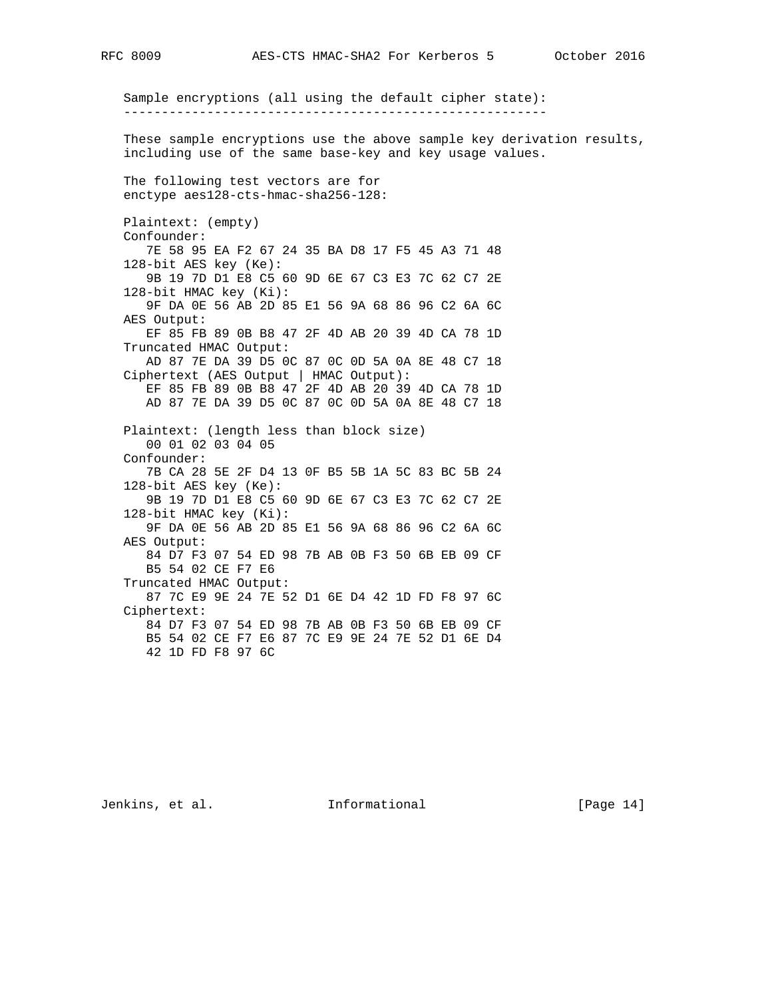Sample encryptions (all using the default cipher state): -------------------------------------------------------- These sample encryptions use the above sample key derivation results, including use of the same base-key and key usage values. The following test vectors are for enctype aes128-cts-hmac-sha256-128: Plaintext: (empty) Confounder: 7E 58 95 EA F2 67 24 35 BA D8 17 F5 45 A3 71 48 128-bit AES key (Ke): 9B 19 7D D1 E8 C5 60 9D 6E 67 C3 E3 7C 62 C7 2E 128-bit HMAC key (Ki): 9F DA 0E 56 AB 2D 85 E1 56 9A 68 86 96 C2 6A 6C AES Output: EF 85 FB 89 0B B8 47 2F 4D AB 20 39 4D CA 78 1D Truncated HMAC Output: AD 87 7E DA 39 D5 0C 87 0C 0D 5A 0A 8E 48 C7 18 Ciphertext (AES Output | HMAC Output): EF 85 FB 89 0B B8 47 2F 4D AB 20 39 4D CA 78 1D AD 87 7E DA 39 D5 0C 87 0C 0D 5A 0A 8E 48 C7 18 Plaintext: (length less than block size) 00 01 02 03 04 05 Confounder: 7B CA 28 5E 2F D4 13 0F B5 5B 1A 5C 83 BC 5B 24 128-bit AES key (Ke): 9B 19 7D D1 E8 C5 60 9D 6E 67 C3 E3 7C 62 C7 2E 128-bit HMAC key (Ki): 9F DA 0E 56 AB 2D 85 E1 56 9A 68 86 96 C2 6A 6C AES Output: 84 D7 F3 07 54 ED 98 7B AB 0B F3 50 6B EB 09 CF B5 54 02 CE F7 E6 Truncated HMAC Output: 87 7C E9 9E 24 7E 52 D1 6E D4 42 1D FD F8 97 6C Ciphertext: 84 D7 F3 07 54 ED 98 7B AB 0B F3 50 6B EB 09 CF B5 54 02 CE F7 E6 87 7C E9 9E 24 7E 52 D1 6E D4 42 1D FD F8 97 6C

Jenkins, et al. 10. Informational [Page 14]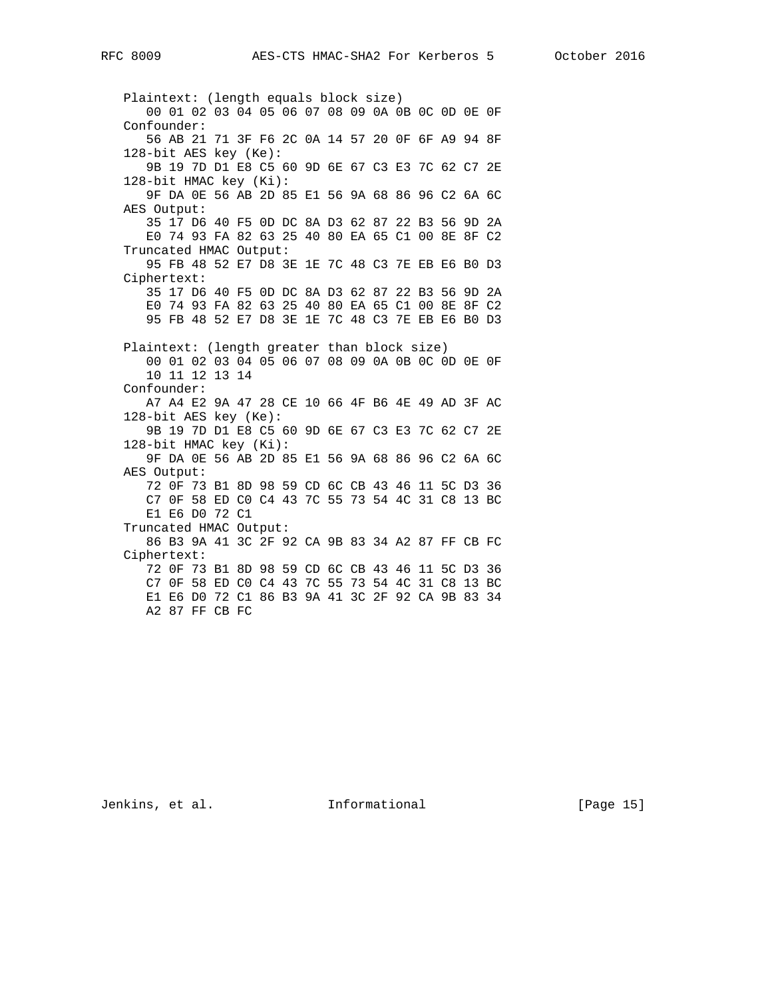Plaintext: (length equals block size) 00 01 02 03 04 05 06 07 08 09 0A 0B 0C 0D 0E 0F Confounder: 56 AB 21 71 3F F6 2C 0A 14 57 20 0F 6F A9 94 8F 128-bit AES key (Ke): 9B 19 7D D1 E8 C5 60 9D 6E 67 C3 E3 7C 62 C7 2E 128-bit HMAC key (Ki): 9F DA 0E 56 AB 2D 85 E1 56 9A 68 86 96 C2 6A 6C AES Output: 35 17 D6 40 F5 0D DC 8A D3 62 87 22 B3 56 9D 2A E0 74 93 FA 82 63 25 40 80 EA 65 C1 00 8E 8F C2 Truncated HMAC Output: 95 FB 48 52 E7 D8 3E 1E 7C 48 C3 7E EB E6 B0 D3 Ciphertext: 35 17 D6 40 F5 0D DC 8A D3 62 87 22 B3 56 9D 2A E0 74 93 FA 82 63 25 40 80 EA 65 C1 00 8E 8F C2 95 FB 48 52 E7 D8 3E 1E 7C 48 C3 7E EB E6 B0 D3 Plaintext: (length greater than block size) 00 01 02 03 04 05 06 07 08 09 0A 0B 0C 0D 0E 0F 10 11 12 13 14 Confounder: A7 A4 E2 9A 47 28 CE 10 66 4F B6 4E 49 AD 3F AC 128-bit AES key (Ke): 9B 19 7D D1 E8 C5 60 9D 6E 67 C3 E3 7C 62 C7 2E 128-bit HMAC key (Ki): 9F DA 0E 56 AB 2D 85 E1 56 9A 68 86 96 C2 6A 6C AES Output: 72 0F 73 B1 8D 98 59 CD 6C CB 43 46 11 5C D3 36 C7 0F 58 ED C0 C4 43 7C 55 73 54 4C 31 C8 13 BC E1 E6 D0 72 C1 Truncated HMAC Output: 86 B3 9A 41 3C 2F 92 CA 9B 83 34 A2 87 FF CB FC Ciphertext: 72 0F 73 B1 8D 98 59 CD 6C CB 43 46 11 5C D3 36 C7 0F 58 ED C0 C4 43 7C 55 73 54 4C 31 C8 13 BC E1 E6 D0 72 C1 86 B3 9A 41 3C 2F 92 CA 9B 83 34 A2 87 FF CB FC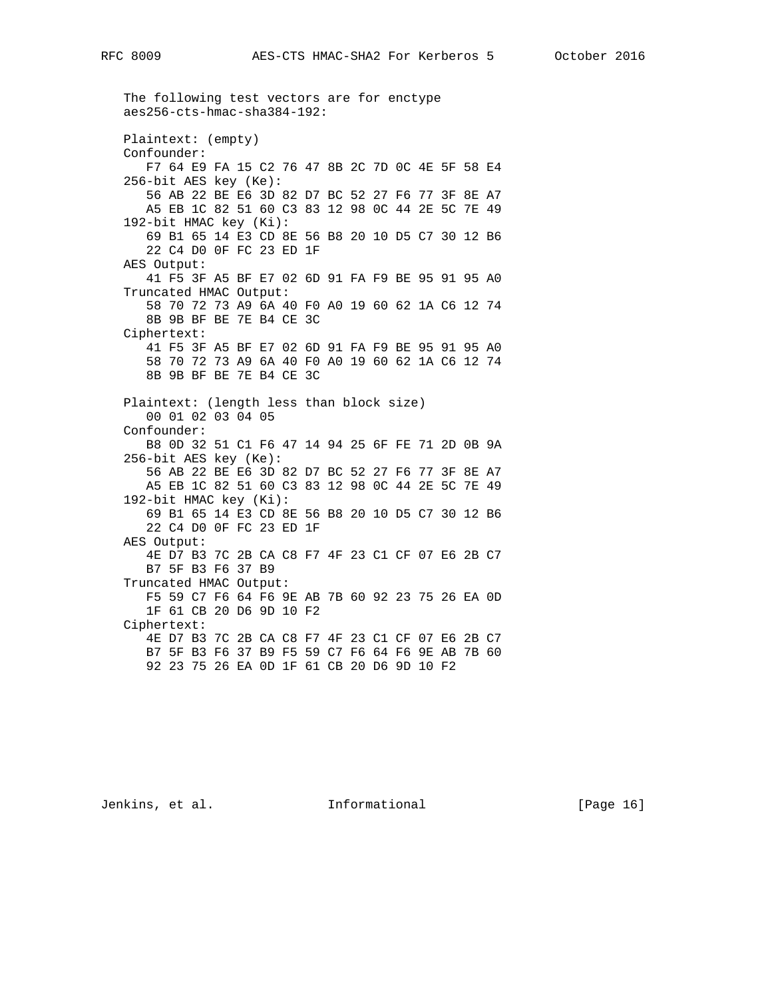aes256-cts-hmac-sha384-192: Plaintext: (empty) Confounder: F7 64 E9 FA 15 C2 76 47 8B 2C 7D 0C 4E 5F 58 E4 256-bit AES key (Ke): 56 AB 22 BE E6 3D 82 D7 BC 52 27 F6 77 3F 8E A7 A5 EB 1C 82 51 60 C3 83 12 98 0C 44 2E 5C 7E 49 192-bit HMAC key (Ki): 69 B1 65 14 E3 CD 8E 56 B8 20 10 D5 C7 30 12 B6 22 C4 D0 0F FC 23 ED 1F AES Output: 41 F5 3F A5 BF E7 02 6D 91 FA F9 BE 95 91 95 A0 Truncated HMAC Output: 58 70 72 73 A9 6A 40 F0 A0 19 60 62 1A C6 12 74 8B 9B BF BE 7E B4 CE 3C Ciphertext: 41 F5 3F A5 BF E7 02 6D 91 FA F9 BE 95 91 95 A0 58 70 72 73 A9 6A 40 F0 A0 19 60 62 1A C6 12 74 8B 9B BF BE 7E B4 CE 3C Plaintext: (length less than block size) 00 01 02 03 04 05 Confounder: B8 0D 32 51 C1 F6 47 14 94 25 6F FE 71 2D 0B 9A 256-bit AES key (Ke): 56 AB 22 BE E6 3D 82 D7 BC 52 27 F6 77 3F 8E A7 A5 EB 1C 82 51 60 C3 83 12 98 0C 44 2E 5C 7E 49 192-bit HMAC key (Ki): 69 B1 65 14 E3 CD 8E 56 B8 20 10 D5 C7 30 12 B6 22 C4 D0 0F FC 23 ED 1F AES Output: 4E D7 B3 7C 2B CA C8 F7 4F 23 C1 CF 07 E6 2B C7 B7 5F B3 F6 37 B9 Truncated HMAC Output: F5 59 C7 F6 64 F6 9E AB 7B 60 92 23 75 26 EA 0D 1F 61 CB 20 D6 9D 10 F2 Ciphertext: 4E D7 B3 7C 2B CA C8 F7 4F 23 C1 CF 07 E6 2B C7 B7 5F B3 F6 37 B9 F5 59 C7 F6 64 F6 9E AB 7B 60 92 23 75 26 EA 0D 1F 61 CB 20 D6 9D 10 F2

The following test vectors are for enctype

Jenkins, et al. Informational [Page 16]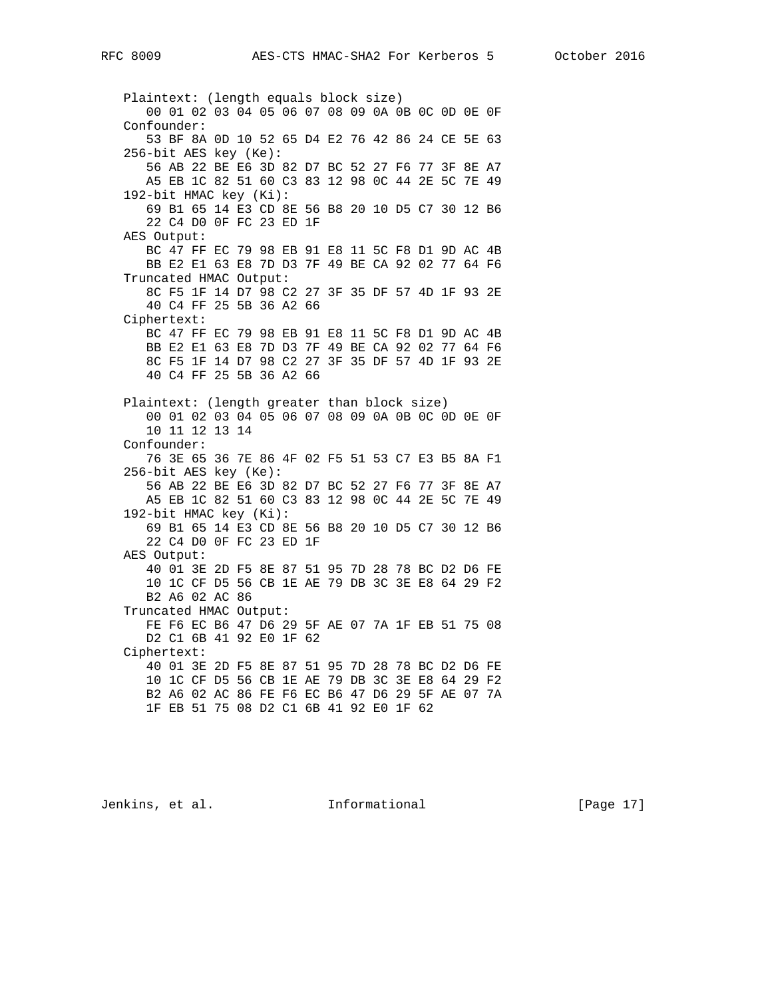Plaintext: (length equals block size) 00 01 02 03 04 05 06 07 08 09 0A 0B 0C 0D 0E 0F Confounder: 53 BF 8A 0D 10 52 65 D4 E2 76 42 86 24 CE 5E 63 256-bit AES key (Ke): 56 AB 22 BE E6 3D 82 D7 BC 52 27 F6 77 3F 8E A7 A5 EB 1C 82 51 60 C3 83 12 98 0C 44 2E 5C 7E 49 192-bit HMAC key (Ki): 69 B1 65 14 E3 CD 8E 56 B8 20 10 D5 C7 30 12 B6 22 C4 D0 0F FC 23 ED 1F AES Output: BC 47 FF EC 79 98 EB 91 E8 11 5C F8 D1 9D AC 4B BB E2 E1 63 E8 7D D3 7F 49 BE CA 92 02 77 64 F6 Truncated HMAC Output: 8C F5 1F 14 D7 98 C2 27 3F 35 DF 57 4D 1F 93 2E 40 C4 FF 25 5B 36 A2 66 Ciphertext: BC 47 FF EC 79 98 EB 91 E8 11 5C F8 D1 9D AC 4B BB E2 E1 63 E8 7D D3 7F 49 BE CA 92 02 77 64 F6 8C F5 1F 14 D7 98 C2 27 3F 35 DF 57 4D 1F 93 2E 40 C4 FF 25 5B 36 A2 66 Plaintext: (length greater than block size) 00 01 02 03 04 05 06 07 08 09 0A 0B 0C 0D 0E 0F 10 11 12 13 14 Confounder: 76 3E 65 36 7E 86 4F 02 F5 51 53 C7 E3 B5 8A F1 256-bit AES key (Ke): 56 AB 22 BE E6 3D 82 D7 BC 52 27 F6 77 3F 8E A7 A5 EB 1C 82 51 60 C3 83 12 98 0C 44 2E 5C 7E 49 192-bit HMAC key (Ki): 69 B1 65 14 E3 CD 8E 56 B8 20 10 D5 C7 30 12 B6 22 C4 D0 0F FC 23 ED 1F AES Output: 40 01 3E 2D F5 8E 87 51 95 7D 28 78 BC D2 D6 FE 10 1C CF D5 56 CB 1E AE 79 DB 3C 3E E8 64 29 F2 B2 A6 02 AC 86 Truncated HMAC Output: FE F6 EC B6 47 D6 29 5F AE 07 7A 1F EB 51 75 08 D2 C1 6B 41 92 E0 1F 62 Ciphertext: 40 01 3E 2D F5 8E 87 51 95 7D 28 78 BC D2 D6 FE 10 1C CF D5 56 CB 1E AE 79 DB 3C 3E E8 64 29 F2 B2 A6 02 AC 86 FE F6 EC B6 47 D6 29 5F AE 07 7A 1F EB 51 75 08 D2 C1 6B 41 92 E0 1F 62

Jenkins, et al. Informational [Page 17]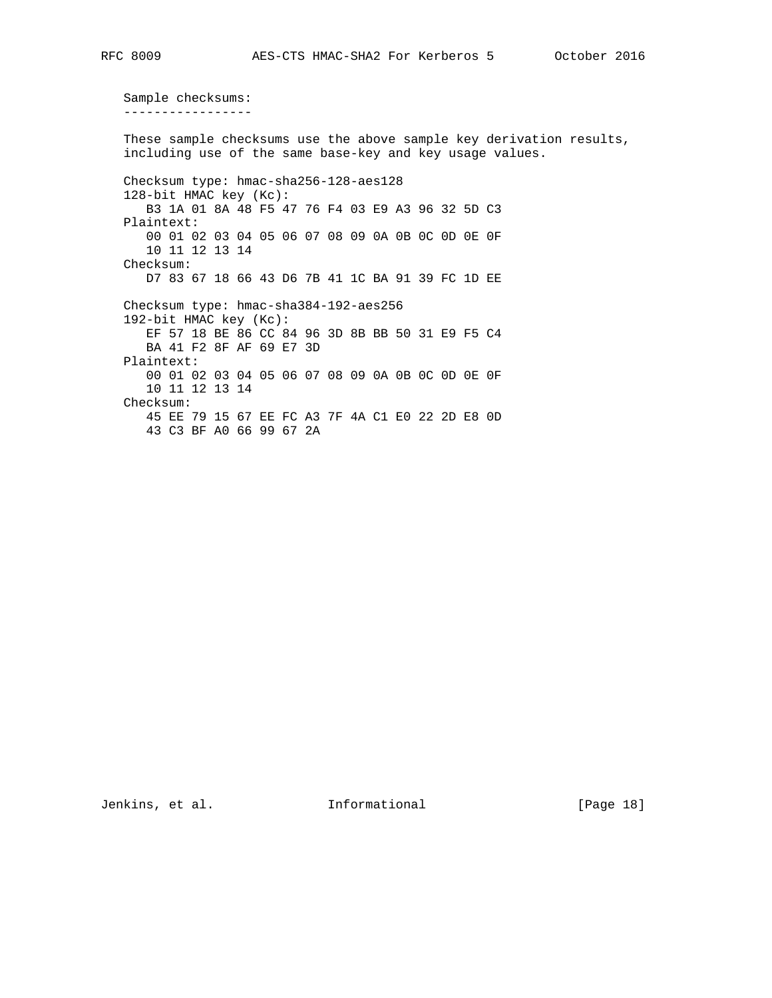Sample checksums: -----------------

 These sample checksums use the above sample key derivation results, including use of the same base-key and key usage values. Checksum type: hmac-sha256-128-aes128 128-bit HMAC key (Kc): B3 1A 01 8A 48 F5 47 76 F4 03 E9 A3 96 32 5D C3 Plaintext: 00 01 02 03 04 05 06 07 08 09 0A 0B 0C 0D 0E 0F 10 11 12 13 14 Checksum: D7 83 67 18 66 43 D6 7B 41 1C BA 91 39 FC 1D EE Checksum type: hmac-sha384-192-aes256 192-bit HMAC key (Kc): EF 57 18 BE 86 CC 84 96 3D 8B BB 50 31 E9 F5 C4 BA 41 F2 8F AF 69 E7 3D Plaintext: 00 01 02 03 04 05 06 07 08 09 0A 0B 0C 0D 0E 0F 10 11 12 13 14 Checksum: 45 EE 79 15 67 EE FC A3 7F 4A C1 E0 22 2D E8 0D 43 C3 BF A0 66 99 67 2A

Jenkins, et al. 1nformational [Page 18]